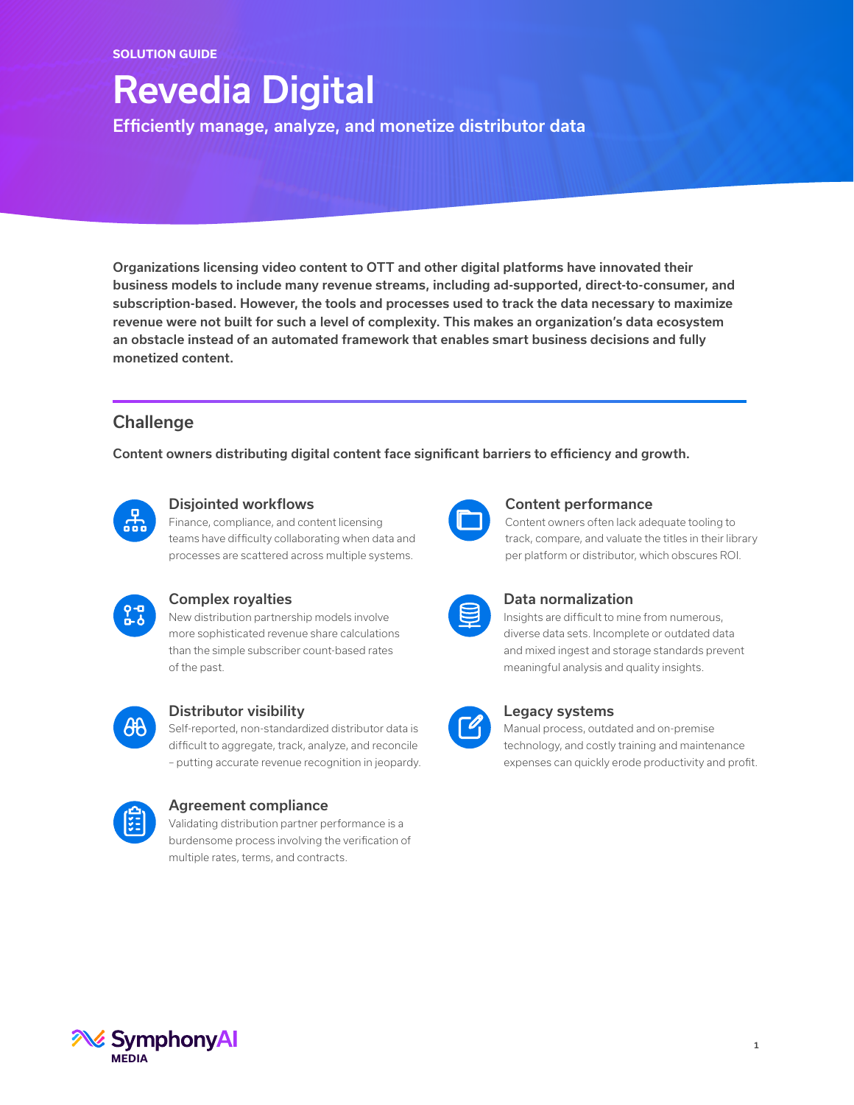# Revedia Digital

Efficiently manage, analyze, and monetize distributor data

Organizations licensing video content to OTT and other digital platforms have innovated their business models to include many revenue streams, including ad-supported, direct-to-consumer, and subscription-based. However, the tools and processes used to track the data necessary to maximize revenue were not built for such a level of complexity. This makes an organization's data ecosystem an obstacle instead of an automated framework that enables smart business decisions and fully monetized content.

# **Challenge**

Content owners distributing digital content face significant barriers to efficiency and growth.



## Disjointed workflows

Finance, compliance, and content licensing teams have difficulty collaborating when data and processes are scattered across multiple systems.



#### Complex royalties

New distribution partnership models involve more sophisticated revenue share calculations than the simple subscriber count-based rates of the past.



## Distributor visibility

Self-reported, non-standardized distributor data is difficult to aggregate, track, analyze, and reconcile – putting accurate revenue recognition in jeopardy.



## Agreement compliance

Validating distribution partner performance is a burdensome process involving the verification of multiple rates, terms, and contracts.

## Content performance

Content owners often lack adequate tooling to track, compare, and valuate the titles in their library per platform or distributor, which obscures ROI.

## Data normalization

Insights are difficult to mine from numerous, diverse data sets. Incomplete or outdated data and mixed ingest and storage standards prevent meaningful analysis and quality insights.



## Legacy systems

Manual process, outdated and on-premise technology, and costly training and maintenance expenses can quickly erode productivity and profit.

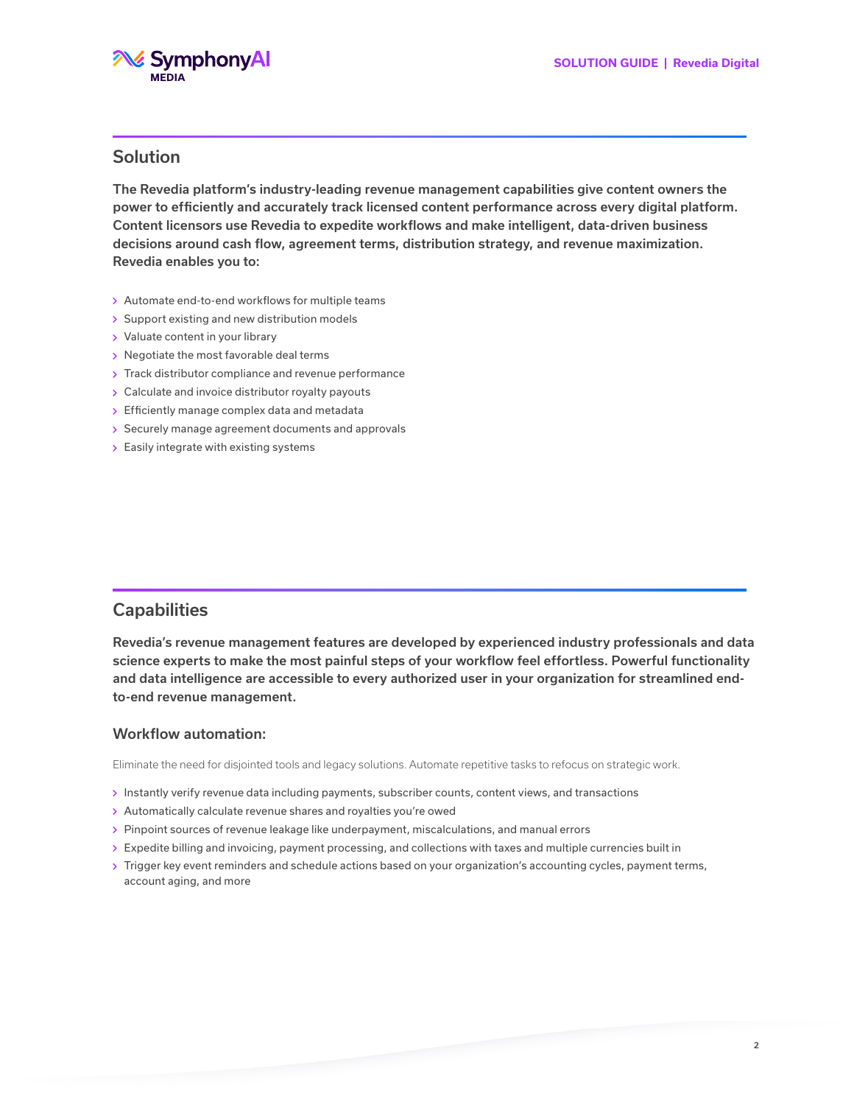

## Solution

The Revedia platform's industry-leading revenue management capabilities give content owners the power to efficiently and accurately track licensed content performance across every digital platform. Content licensors use Revedia to expedite workflows and make intelligent, data-driven business decisions around cash flow, agreement terms, distribution strategy, and revenue maximization. Revedia enables you to:

- Automate end-to-end workflows for multiple teams
- Support existing and new distribution models
- Valuate content in your library
- Negotiate the most favorable deal terms
- > Track distributor compliance and revenue performance
- Calculate and invoice distributor royalty payouts
- $\rightarrow$  Efficiently manage complex data and metadata
- Securely manage agreement documents and approvals
- $\epsilon$  Easily integrate with existing systems

## **Capabilities**

Revedia's revenue management features are developed by experienced industry professionals and data science experts to make the most painful steps of your workflow feel effortless. Powerful functionality and data intelligence are accessible to every authorized user in your organization for streamlined endto-end revenue management.

#### Workflow automation:

Eliminate the need for disjointed tools and legacy solutions. Automate repetitive tasks to refocus on strategic work.

- Instantly verify revenue data including payments, subscriber counts, content views, and transactions
- Automatically calculate revenue shares and royalties you're owed
- Pinpoint sources of revenue leakage like underpayment, miscalculations, and manual errors
- Expedite billing and invoicing, payment processing, and collections with taxes and multiple currencies built in
- Trigger key event reminders and schedule actions based on your organization's accounting cycles, payment terms, account aging, and more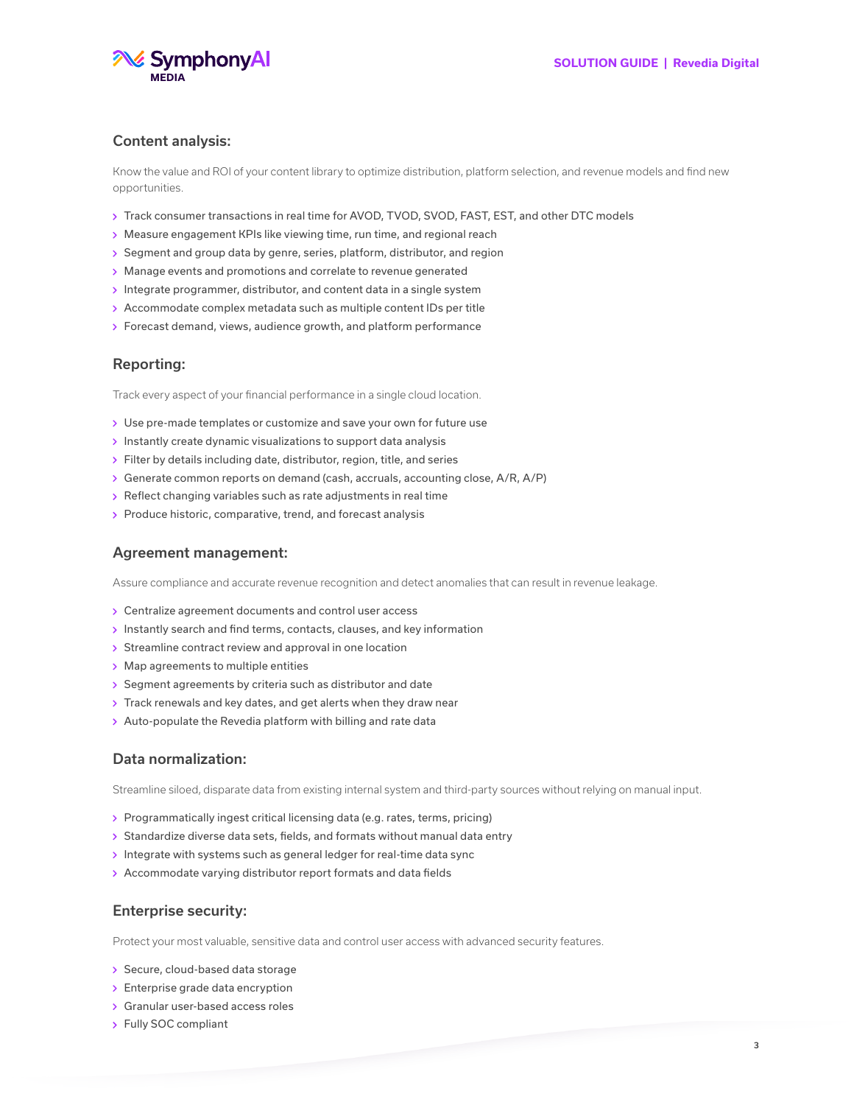

#### Content analysis:

Know the value and ROI of your content library to optimize distribution, platform selection, and revenue models and find new opportunities.

- Track consumer transactions in real time for AVOD, TVOD, SVOD, FAST, EST, and other DTC models
- Measure engagement KPIs like viewing time, run time, and regional reach
- Segment and group data by genre, series, platform, distributor, and region
- Manage events and promotions and correlate to revenue generated
- Integrate programmer, distributor, and content data in a single system
- Accommodate complex metadata such as multiple content IDs per title
- $\rightarrow$  Forecast demand, views, audience growth, and platform performance

#### Reporting:

Track every aspect of your financial performance in a single cloud location.

- Use pre-made templates or customize and save your own for future use
- $\rightarrow$  Instantly create dynamic visualizations to support data analysis
- Filter by details including date, distributor, region, title, and series
- Generate common reports on demand (cash, accruals, accounting close, A/R, A/P)
- $\rightarrow$  Reflect changing variables such as rate adjustments in real time
- $\rightarrow$  Produce historic, comparative, trend, and forecast analysis

#### Agreement management:

Assure compliance and accurate revenue recognition and detect anomalies that can result in revenue leakage.

- Centralize agreement documents and control user access
- Instantly search and find terms, contacts, clauses, and key information
- Streamline contract review and approval in one location
- Map agreements to multiple entities
- $\rightarrow$  Segment agreements by criteria such as distributor and date
- $\rightarrow$  Track renewals and key dates, and get alerts when they draw near
- Auto-populate the Revedia platform with billing and rate data

#### Data normalization:

Streamline siloed, disparate data from existing internal system and third-party sources without relying on manual input.

- Programmatically ingest critical licensing data (e.g. rates, terms, pricing)
- Standardize diverse data sets, fields, and formats without manual data entry
- $\rightarrow$  Integrate with systems such as general ledger for real-time data sync
- Accommodate varying distributor report formats and data fields

#### Enterprise security:

Protect your most valuable, sensitive data and control user access with advanced security features.

- Secure, cloud-based data storage
- $\rightarrow$  Enterprise grade data encryption
- Granular user-based access roles
- Fully SOC compliant